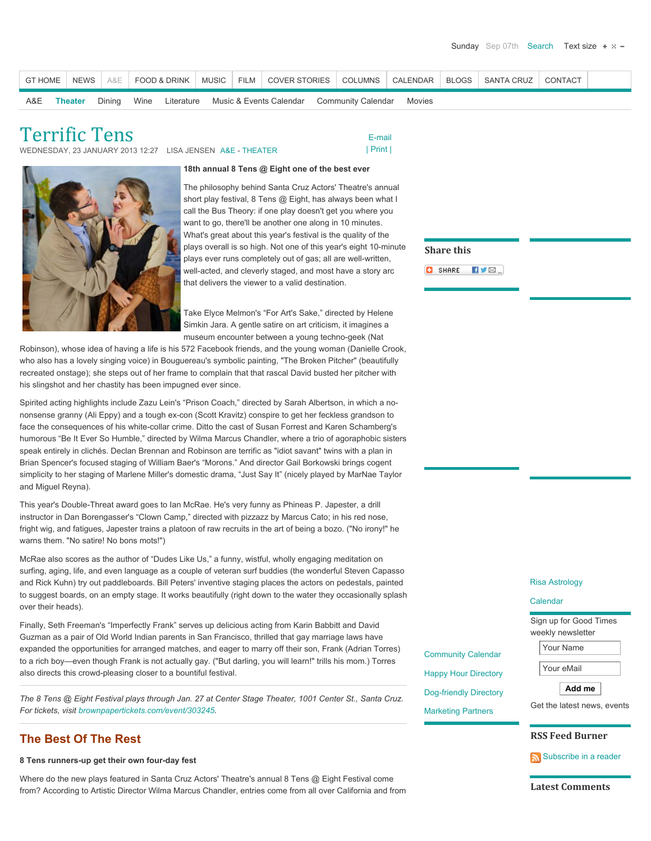| <b>GT HOME</b> |         | NEWS  <br>A&E |      | <b>FOOD &amp; DRINK</b> | <b>MUSIC</b> | FILM COVER STORIES      | <b>COLUMNS</b>     | CALENDAR |        |
|----------------|---------|---------------|------|-------------------------|--------------|-------------------------|--------------------|----------|--------|
| A&E            | Theater | Dining        | Wine | Literature              |              | Music & Events Calendar | Community Calendar |          | Movies |

Terrific Tens

WEDNESDAY, 23 JANUARY 2013 12:27 LISA JENSEN [A&E -](http://www.gtweekly.com/index.php/santa-cruz-arts-entertainment-lifestyles.html) [THEATER](http://www.gtweekly.com/index.php/santa-cruz-arts-entertainment-lifestyles/live-events-music-theater-santa-cruz.html)



 [E-mail](http://www.gtweekly.com/index.php/component/mailto/?tmpl=component&link=ca0f369e1474164c075c24ea56d5b08fcbd43b0f)



## **18th annual 8 Tens @ Eight one of the best ever**

The philosophy behind Santa Cruz Actors' Theatre's annual short play festival, 8 Tens @ Eight, has always been what I call the Bus Theory: if one play doesn't get you where you want to go, there'll be another one along in 10 minutes. What's great about this year's festival is the quality of the plays overall is so high. Not one of this year's eight 10-minute plays ever runs completely out of gas; all are well-written, well-acted, and cleverly staged, and most have a story arc that delivers the viewer to a valid destination.

Take Elyce Melmon's "For Art's Sake," directed by Helene Simkin Jara. A gentle satire on art criticism, it imagines a museum encounter between a young techno-geek (Nat

Robinson), whose idea of having a life is his 572 Facebook friends, and the young woman (Danielle Crook, who also has a lovely singing voice) in Bouguereau's symbolic painting, "The Broken Pitcher" (beautifully recreated onstage); she steps out of her frame to complain that that rascal David busted her pitcher with his slingshot and her chastity has been impugned ever since.

Spirited acting highlights include Zazu Lein's "Prison Coach," directed by Sarah Albertson, in which a nononsense granny (Ali Eppy) and a tough ex-con (Scott Kravitz) conspire to get her feckless grandson to face the consequences of his white-collar crime. Ditto the cast of Susan Forrest and Karen Schamberg's humorous "Be It Ever So Humble," directed by Wilma Marcus Chandler, where a trio of agoraphobic sisters speak entirely in clichés. Declan Brennan and Robinson are terrific as "idiot savant" twins with a plan in Brian Spencer's focused staging of William Baer's "Morons." And director Gail Borkowski brings cogent simplicity to her staging of Marlene Miller's domestic drama, "Just Say It" (nicely played by MarNae Taylor and Miguel Reyna).

This year's Double-Threat award goes to Ian McRae. He's very funny as Phineas P. Japester, a drill instructor in Dan Borengasser's "Clown Camp," directed with pizzazz by Marcus Cato; in his red nose, fright wig, and fatigues, Japester trains a platoon of raw recruits in the art of being a bozo. ("No irony!" he warns them. "No satire! No bons mots!")

McRae also scores as the author of "Dudes Like Us," a funny, wistful, wholly engaging meditation on surfing, aging, life, and even language as a couple of veteran surf buddies (the wonderful Steven Capasso and Rick Kuhn) try out paddleboards. Bill Peters' inventive staging places the actors on pedestals, painted to suggest boards, on an empty stage. It works beautifully (right down to the water they occasionally splash over their heads).

Finally, Seth Freeman's "Imperfectly Frank" serves up delicious acting from Karin Babbitt and David Guzman as a pair of Old World Indian parents in San Francisco, thrilled that gay marriage laws have expanded the opportunities for arranged matches, and eager to marry off their son, Frank (Adrian Torres) to a rich boy—even though Frank is not actually gay. ("But darling, you will learn!" trills his mom.) Torres also directs this crowd-pleasing closer to a bountiful festival.

*The 8 Tens @ Eight Festival plays through Jan. 27 at Center Stage Theater, 1001 Center St., Santa Cruz. For tickets, visit [brownpapertickets.com/event/303245.](http://www.brownpapertickets.com/event/303245)*

## **The Best Of The Rest**

## **8 Tens runners-up get their own four-day fest**

Where do the new plays featured in Santa Cruz Actors' Theatre's annual 8 Tens @ Eight Festival come from? According to Artistic Director Wilma Marcus Chandler, entries come from all over California and from  $Sha$ o :

Com Hap Dog-Mark